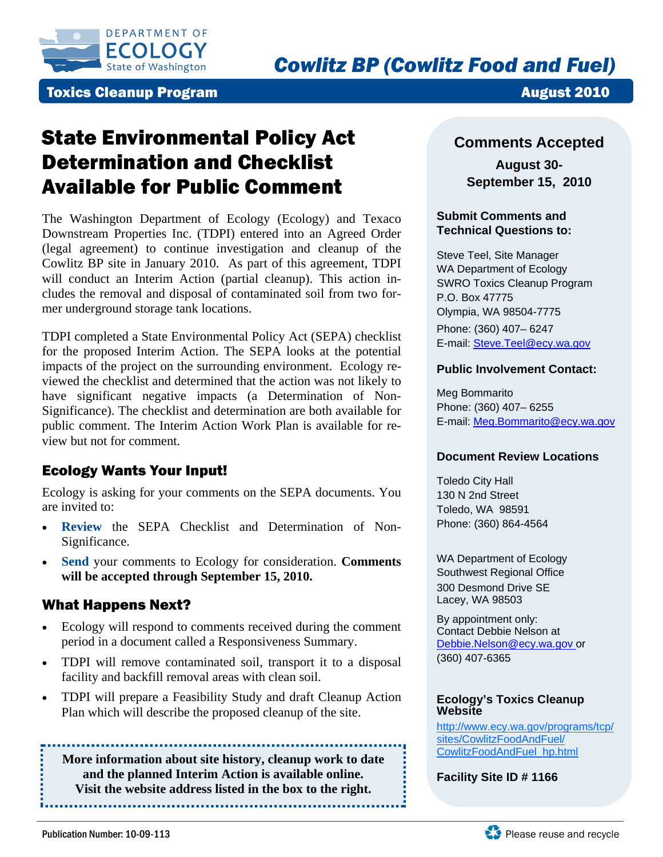

## **Toxics Cleanup Program August 2010**

# State Environmental Policy Act Determination and Checklist Available for Public Comment

The Washington Department of Ecology (Ecology) and Texaco Downstream Properties Inc. (TDPI) entered into an Agreed Order (legal agreement) to continue investigation and cleanup of the Cowlitz BP site in January 2010. As part of this agreement, TDPI will conduct an Interim Action (partial cleanup). This action includes the removal and disposal of contaminated soil from two former underground storage tank locations.

TDPI completed a State Environmental Policy Act (SEPA) checklist for the proposed Interim Action. The SEPA looks at the potential impacts of the project on the surrounding environment. Ecology reviewed the checklist and determined that the action was not likely to have significant negative impacts (a Determination of Non-Significance). The checklist and determination are both available for public comment. The Interim Action Work Plan is available for review but not for comment.

## Ecology Wants Your Input!

Ecology is asking for your comments on the SEPA documents. You are invited to:

- **Review** the SEPA Checklist and Determination of Non-Significance.
- **Send** your comments to Ecology for consideration. **Comments will be accepted through September 15, 2010.**

## What Happens Next?

- Ecology will respond to comments received during the comment period in a document called a Responsiveness Summary.
- TDPI will remove contaminated soil, transport it to a disposal facility and backfill removal areas with clean soil.
- TDPI will prepare a Feasibility Study and draft Cleanup Action Plan which will describe the proposed cleanup of the site.

**More information about site history, cleanup work to date and the planned Interim Action is available online. Visit the website address listed in the box to the right.** 

## **Comments Accepted**

**August 30- September 15, 2010** 

#### **Submit Comments and Technical Questions to:**

Steve Teel, Site Manager WA Department of Ecology SWRO Toxics Cleanup Program P.O. Box 47775 Olympia, WA 98504-7775 Phone: (360) 407– 6247 E-mail: Steve.Teel@ecy.wa.gov

#### **Public Involvement Contact:**

Meg Bommarito Phone: (360) 407– 6255 E-mail: Meg.Bommarito@ecy.wa.gov

#### **Document Review Locations**

Toledo City Hall 130 N 2nd Street Toledo, WA 98591 Phone: (360) 864-4564

WA Department of Ecology Southwest Regional Office 300 Desmond Drive SE Lacey, WA 98503

By appointment only: Contact Debbie Nelson at Debbie.Nelson@ecy.wa.gov or (360) 407-6365

#### **Ecology's Toxics Cleanup Website**

[http://www.ecy.wa.gov/programs/tcp/](http://www.ecy.wa.gov/programs/tcp/sites/CowlitzFoodAndFuel/CowlitzFoodAndFuel_hp.html) sites/CowlitzFoodAndFuel/ CowlitzFoodAndFuel\_hp.html

**Facility Site ID # 1166**